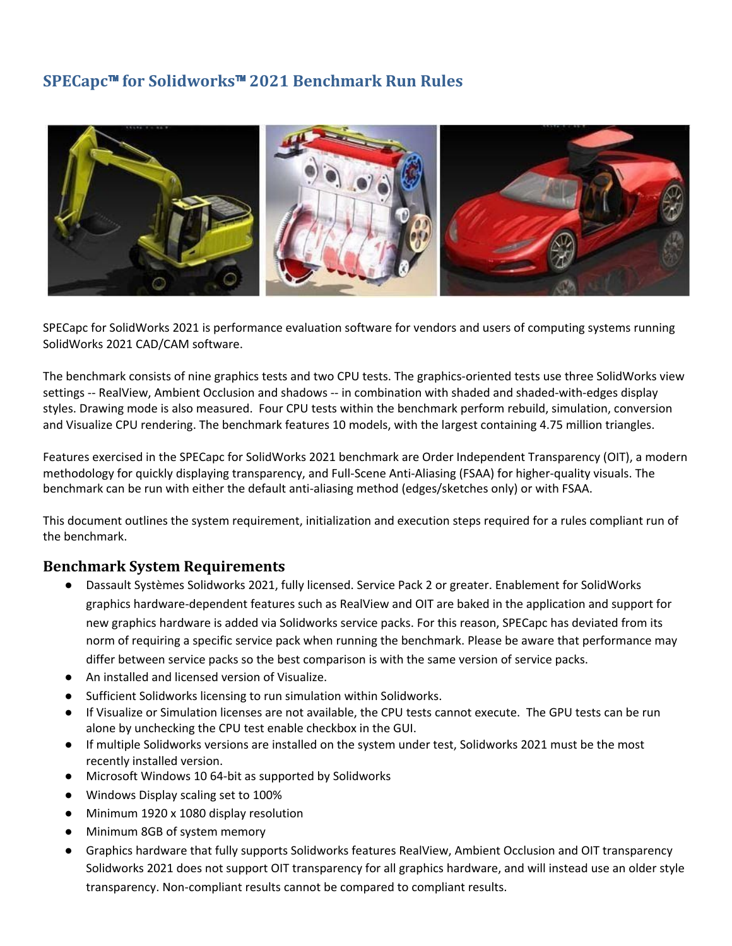# **SPECapc**™ **for Solidworks**™ **2021 Benchmark Run Rules**



SPECapc for SolidWorks 2021 is performance evaluation software for vendors and users of computing systems running SolidWorks 2021 CAD/CAM software.

The benchmark consists of nine graphics tests and two CPU tests. The graphics-oriented tests use three SolidWorks view settings -- RealView, Ambient Occlusion and shadows -- in combination with shaded and shaded-with-edges display styles. Drawing mode is also measured. Four CPU tests within the benchmark perform rebuild, simulation, conversion and Visualize CPU rendering. The benchmark features 10 models, with the largest containing 4.75 million triangles.

Features exercised in the SPECapc for SolidWorks 2021 benchmark are Order Independent Transparency (OIT), a modern methodology for quickly displaying transparency, and Full-Scene Anti-Aliasing (FSAA) for higher-quality visuals. The benchmark can be run with either the default anti-aliasing method (edges/sketches only) or with FSAA.

This document outlines the system requirement, initialization and execution steps required for a rules compliant run of the benchmark.

#### **Benchmark System Requirements**

- Dassault Systèmes Solidworks 2021, fully licensed. Service Pack 2 or greater. Enablement for SolidWorks graphics hardware-dependent features such as RealView and OIT are baked in the application and support for new graphics hardware is added via Solidworks service packs. For this reason, SPECapc has deviated from its norm of requiring a specific service pack when running the benchmark. Please be aware that performance may differ between service packs so the best comparison is with the same version of service packs.
- An installed and licensed version of Visualize.
- Sufficient Solidworks licensing to run simulation within Solidworks.
- If Visualize or Simulation licenses are not available, the CPU tests cannot execute. The GPU tests can be run alone by unchecking the CPU test enable checkbox in the GUI.
- If multiple Solidworks versions are installed on the system under test, Solidworks 2021 must be the most recently installed version.
- Microsoft Windows 10 64-bit as supported by Solidworks
- Windows Display scaling set to 100%
- Minimum 1920 x 1080 display resolution
- Minimum 8GB of system memory
- Graphics hardware that fully supports Solidworks features RealView, Ambient Occlusion and OIT transparency Solidworks 2021 does not support OIT transparency for all graphics hardware, and will instead use an older style transparency. Non-compliant results cannot be compared to compliant results.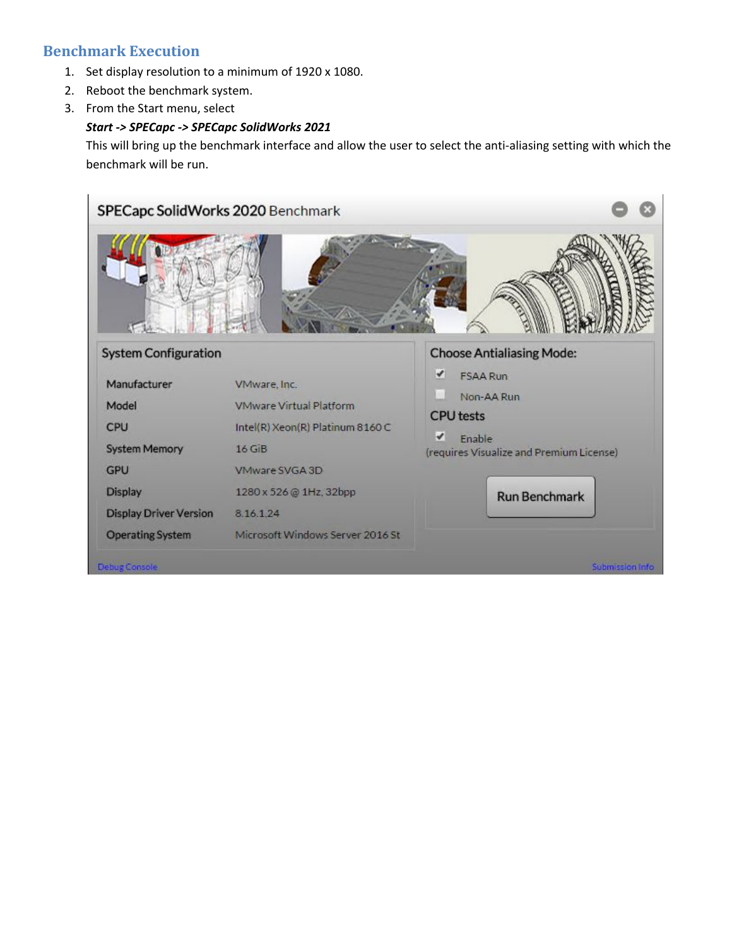## **Benchmark Execution**

- 1. Set display resolution to a minimum of 1920 x 1080.
- 2. Reboot the benchmark system.
- 3. From the Start menu, select

#### *Start -> SPECapc -> SPECapc SolidWorks 2021*

This will bring up the benchmark interface and allow the user to select the anti-aliasing setting with which the benchmark will be run.

| SPECapc SolidWorks 2020 Benchmark                                                   |                                                                                                |                                                                                                                                                                          |
|-------------------------------------------------------------------------------------|------------------------------------------------------------------------------------------------|--------------------------------------------------------------------------------------------------------------------------------------------------------------------------|
| <b>System Configuration</b><br>Manufacturer<br>Model<br>CPU<br><b>System Memory</b> | VMware, Inc.<br><b>VMware Virtual Platform</b><br>Intel(R) Xeon(R) Platinum 8160 C<br>$16$ GiB | <b>Choose Antialiasing Mode:</b><br>$\blacktriangledown$<br><b>FSAA Run</b><br>Non-AA Run<br><b>CPU</b> tests<br>✔<br>Enable<br>(requires Visualize and Premium License) |
| <b>GPU</b><br><b>Display</b><br><b>Display Driver Version</b>                       | VMware SVGA 3D<br>1280 x 526 @ 1Hz, 32bpp<br>8.16.1.24                                         | <b>Run Benchmark</b>                                                                                                                                                     |
| <b>Operating System</b><br><b>Debug Console</b>                                     | Microsoft Windows Server 2016 St                                                               | Submission Info                                                                                                                                                          |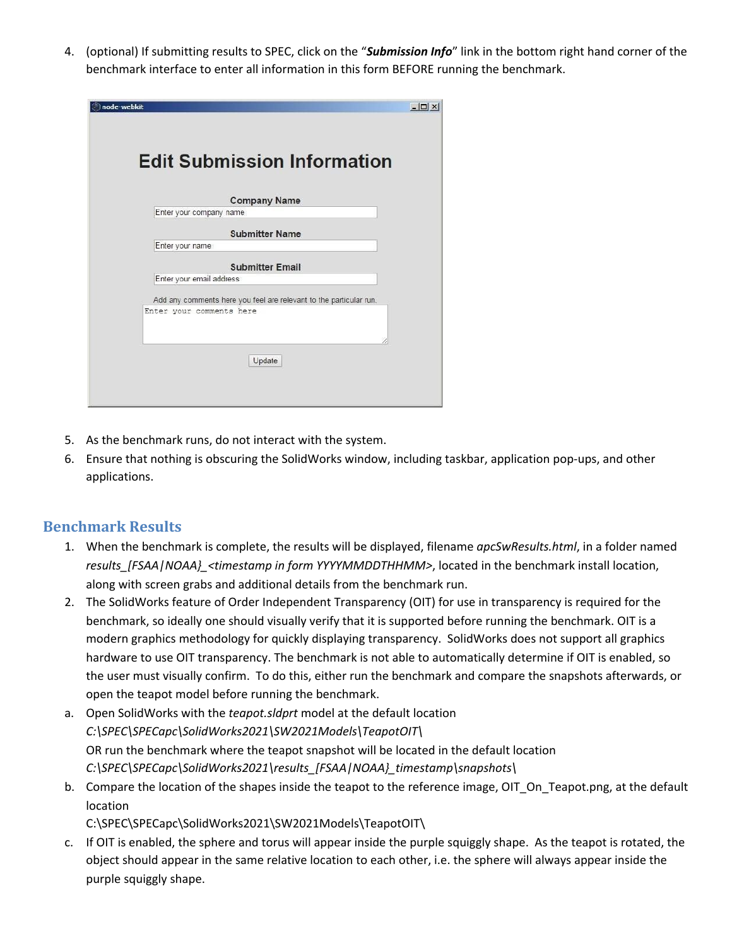4. (optional) If submitting results to SPEC, click on the "*Submission Info*" link in the bottom right hand corner of the benchmark interface to enter all information in this form BEFORE running the benchmark.

| node-webkit                                                        | $ \Box$ $\times$ |
|--------------------------------------------------------------------|------------------|
|                                                                    |                  |
| <b>Edit Submission Information</b>                                 |                  |
| <b>Company Name</b>                                                |                  |
| Enter your company name                                            |                  |
| <b>Submitter Name</b>                                              |                  |
| Enter your name                                                    |                  |
| <b>Submitter Email</b>                                             |                  |
| Enter your email address                                           |                  |
| Add any comments here you feel are relevant to the particular run. |                  |
| Enter your comments here                                           |                  |
|                                                                    |                  |
| Update                                                             |                  |

- 5. As the benchmark runs, do not interact with the system.
- 6. Ensure that nothing is obscuring the SolidWorks window, including taskbar, application pop-ups, and other applications.

#### **Benchmark Results**

- 1. When the benchmark is complete, the results will be displayed, filename *apcSwResults.html*, in a folder named *results\_[FSAA|NOAA}\_<timestamp in form YYYYMMDDTHHMM>*, located in the benchmark install location, along with screen grabs and additional details from the benchmark run.
- 2. The SolidWorks feature of Order Independent Transparency (OIT) for use in transparency is required for the benchmark, so ideally one should visually verify that it is supported before running the benchmark. OIT is a modern graphics methodology for quickly displaying transparency. SolidWorks does not support all graphics hardware to use OIT transparency. The benchmark is not able to automatically determine if OIT is enabled, so the user must visually confirm. To do this, either run the benchmark and compare the snapshots afterwards, or open the teapot model before running the benchmark.
- a. Open SolidWorks with the *teapot.sldprt* model at the default location *C:\SPEC\SPECapc\SolidWorks2021\SW2021Models\TeapotOIT\* OR run the benchmark where the teapot snapshot will be located in the default location *C:\SPEC\SPECapc\SolidWorks2021\results\_[FSAA|NOAA}\_timestamp\snapshots\*
- b. Compare the location of the shapes inside the teapot to the reference image, OIT\_On\_Teapot.png, at the default location

C:\SPEC\SPECapc\SolidWorks2021\SW2021Models\TeapotOIT\

c. If OIT is enabled, the sphere and torus will appear inside the purple squiggly shape. As the teapot is rotated, the object should appear in the same relative location to each other, i.e. the sphere will always appear inside the purple squiggly shape.